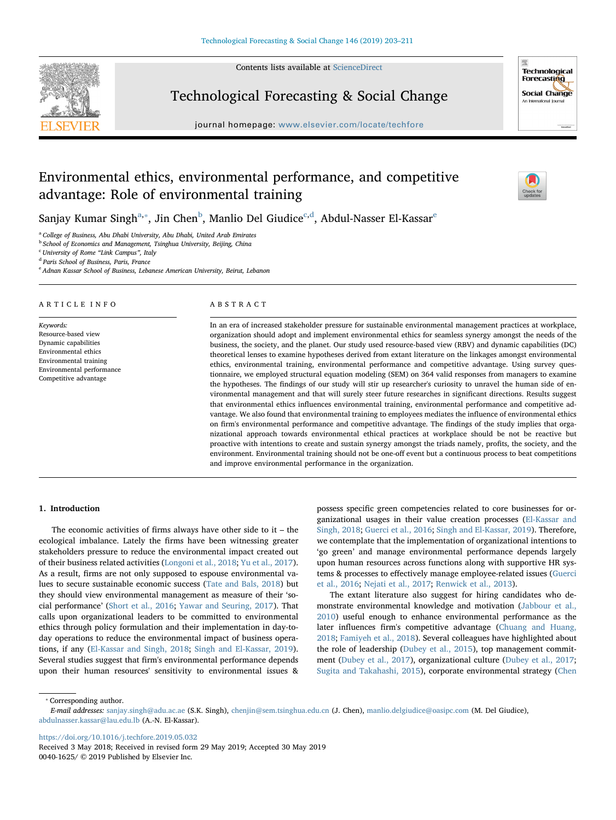Contents lists available at [ScienceDirect](http://www.sciencedirect.com/science/journal/00401625)



Technological Forecasting & Social Change

journal homepage: [www.elsevier.com/locate/techfore](https://www.elsevier.com/locate/techfore)

# Environmental ethics, environmental performance, and competitive advantage: Role of environmental training

S[a](#page-0-0)njay Kumar Singh $^{\rm a, *},$  Jin Ch[e](#page-0-5)n $^{\rm b}$  $^{\rm b}$  $^{\rm b}$ , Manlio Del Giudi[c](#page-0-3)e $^{\rm c, d}$ , Abdul-Nasser El-Kassar $^{\rm e}$ 

<span id="page-0-0"></span><sup>a</sup> College of Business, Abu Dhabi University, Abu Dhabi, United Arab Emirates

<span id="page-0-2"></span>**b** School of Economics and Management, Tsinghua University, Beijing, China

<span id="page-0-3"></span><sup>c</sup> University of Rome "Link Campus", Italy

<span id="page-0-4"></span><sup>d</sup> Paris School of Business, Paris, France

<span id="page-0-5"></span><sup>e</sup> Adnan Kassar School of Business, Lebanese American University, Beirut, Lebanon

#### ARTICLE INFO

Keywords: Resource-based view Dynamic capabilities Environmental ethics Environmental training Environmental performance Competitive advantage

#### ABSTRACT

In an era of increased stakeholder pressure for sustainable environmental management practices at workplace, organization should adopt and implement environmental ethics for seamless synergy amongst the needs of the business, the society, and the planet. Our study used resource-based view (RBV) and dynamic capabilities (DC) theoretical lenses to examine hypotheses derived from extant literature on the linkages amongst environmental ethics, environmental training, environmental performance and competitive advantage. Using survey questionnaire, we employed structural equation modeling (SEM) on 364 valid responses from managers to examine the hypotheses. The findings of our study will stir up researcher's curiosity to unravel the human side of environmental management and that will surely steer future researches in significant directions. Results suggest that environmental ethics influences environmental training, environmental performance and competitive advantage. We also found that environmental training to employees mediates the influence of environmental ethics on firm's environmental performance and competitive advantage. The findings of the study implies that organizational approach towards environmental ethical practices at workplace should be not be reactive but proactive with intentions to create and sustain synergy amongst the triads namely, profits, the society, and the environment. Environmental training should not be one-off event but a continuous process to beat competitions and improve environmental performance in the organization.

## 1. Introduction

The economic activities of firms always have other side to  $it$  – the ecological imbalance. Lately the firms have been witnessing greater stakeholders pressure to reduce the environmental impact created out of their business related activities [\(Longoni et al., 2018;](#page-8-0) [Yu et al., 2017](#page-8-1)). As a result, firms are not only supposed to espouse environmental values to secure sustainable economic success ([Tate and Bals, 2018](#page-8-2)) but they should view environmental management as measure of their 'social performance' [\(Short et al., 2016](#page-8-3); [Yawar and Seuring, 2017](#page-8-4)). That calls upon organizational leaders to be committed to environmental ethics through policy formulation and their implementation in day-today operations to reduce the environmental impact of business operations, if any ([El-Kassar and Singh, 2018;](#page-7-0) [Singh and El-Kassar, 2019](#page-8-5)). Several studies suggest that firm's environmental performance depends upon their human resources' sensitivity to environmental issues &

possess specific green competencies related to core businesses for organizational usages in their value creation processes [\(El-Kassar and](#page-7-0) [Singh, 2018;](#page-7-0) [Guerci et al., 2016](#page-7-1); [Singh and El-Kassar, 2019\)](#page-8-5). Therefore, we contemplate that the implementation of organizational intentions to 'go green' and manage environmental performance depends largely upon human resources across functions along with supportive HR systems & processes to effectively manage employee-related issues [\(Guerci](#page-7-1) [et al., 2016](#page-7-1); [Nejati et al., 2017;](#page-8-6) [Renwick et al., 2013](#page-8-7)).

The extant literature also suggest for hiring candidates who demonstrate environmental knowledge and motivation [\(Jabbour et al.,](#page-8-8) [2010\)](#page-8-8) useful enough to enhance environmental performance as the later influences firm's competitive advantage ([Chuang and Huang,](#page-7-2) [2018;](#page-7-2) [Famiyeh et al., 2018\)](#page-7-3). Several colleagues have highlighted about the role of leadership [\(Dubey et al., 2015](#page-7-4)), top management commitment [\(Dubey et al., 2017\)](#page-7-5), organizational culture ([Dubey et al., 2017](#page-7-5); [Sugita and Takahashi, 2015\)](#page-8-9), corporate environmental strategy ([Chen](#page-7-6)

<span id="page-0-1"></span>⁎ Corresponding author.

E-mail addresses: [sanjay.singh@adu.ac.ae](mailto:sanjay.singh@adu.ac.ae) (S.K. Singh), [chenjin@sem.tsinghua.edu.cn](mailto:chenjin@sem.tsinghua.edu.cn) (J. Chen), [manlio.delgiudice@oasipc.com](mailto:manlio.delgiudice@oasipc.com) (M. Del Giudice), [abdulnasser.kassar@lau.edu.lb](mailto:abdulnasser.kassar@lau.edu.lb) (A.-N. El-Kassar).

<https://doi.org/10.1016/j.techfore.2019.05.032>



**Technological** Forecasting **Social Change** An International Jour

Received 3 May 2018; Received in revised form 29 May 2019; Accepted 30 May 2019 0040-1625/ © 2019 Published by Elsevier Inc.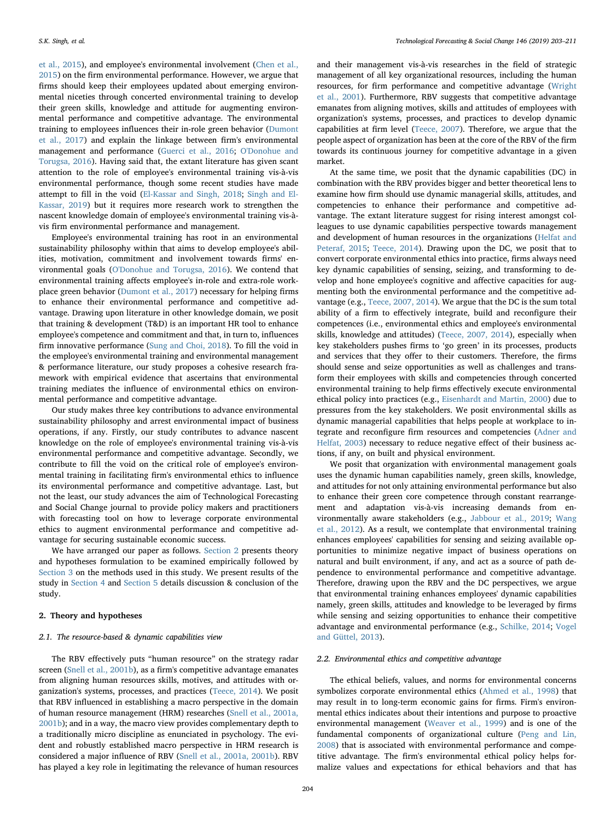[et al., 2015\)](#page-7-6), and employee's environmental involvement ([Chen et al.,](#page-7-6) [2015\)](#page-7-6) on the firm environmental performance. However, we argue that firms should keep their employees updated about emerging environmental niceties through concerted environmental training to develop their green skills, knowledge and attitude for augmenting environmental performance and competitive advantage. The environmental training to employees influences their in-role green behavior [\(Dumont](#page-7-7) [et al., 2017](#page-7-7)) and explain the linkage between firm's environmental management and performance ([Guerci et al., 2016](#page-7-1); [O'Donohue and](#page-8-10) [Torugsa, 2016\)](#page-8-10). Having said that, the extant literature has given scant attention to the role of employee's environmental training vis-à-vis environmental performance, though some recent studies have made attempt to fill in the void ([El-Kassar and Singh, 2018;](#page-7-0) [Singh and El-](#page-8-5)[Kassar, 2019](#page-8-5)) but it requires more research work to strengthen the nascent knowledge domain of employee's environmental training vis-àvis firm environmental performance and management.

Employee's environmental training has root in an environmental sustainability philosophy within that aims to develop employee's abilities, motivation, commitment and involvement towards firms' environmental goals ([O'Donohue and Torugsa, 2016](#page-8-10)). We contend that environmental training affects employee's in-role and extra-role workplace green behavior ([Dumont et al., 2017\)](#page-7-7) necessary for helping firms to enhance their environmental performance and competitive advantage. Drawing upon literature in other knowledge domain, we posit that training & development (T&D) is an important HR tool to enhance employee's competence and commitment and that, in turn to, influences firm innovative performance ([Sung and Choi, 2018\)](#page-8-11). To fill the void in the employee's environmental training and environmental management & performance literature, our study proposes a cohesive research framework with empirical evidence that ascertains that environmental training mediates the influence of environmental ethics on environmental performance and competitive advantage.

Our study makes three key contributions to advance environmental sustainability philosophy and arrest environmental impact of business operations, if any. Firstly, our study contributes to advance nascent knowledge on the role of employee's environmental training vis-à-vis environmental performance and competitive advantage. Secondly, we contribute to fill the void on the critical role of employee's environmental training in facilitating firm's environmental ethics to influence its environmental performance and competitive advantage. Last, but not the least, our study advances the aim of Technological Forecasting and Social Change journal to provide policy makers and practitioners with forecasting tool on how to leverage corporate environmental ethics to augment environmental performance and competitive advantage for securing sustainable economic success.

We have arranged our paper as follows. [Section 2](#page-1-0) presents theory and hypotheses formulation to be examined empirically followed by [Section 3](#page-3-0) on the methods used in this study. We present results of the study in [Section 4](#page-5-0) and [Section](#page-5-1) 5 details discussion & conclusion of the study.

## <span id="page-1-0"></span>2. Theory and hypotheses

## 2.1. The resource-based & dynamic capabilities view

The RBV effectively puts "human resource" on the strategy radar screen [\(Snell et al., 2001b\)](#page-8-12), as a firm's competitive advantage emanates from aligning human resources skills, motives, and attitudes with organization's systems, processes, and practices ([Teece, 2014](#page-8-13)). We posit that RBV influenced in establishing a macro perspective in the domain of human resource management (HRM) researches [\(Snell et al., 2001a,](#page-8-14) [2001b\)](#page-8-14); and in a way, the macro view provides complementary depth to a traditionally micro discipline as enunciated in psychology. The evident and robustly established macro perspective in HRM research is considered a major influence of RBV ([Snell et al., 2001a, 2001b\)](#page-8-14). RBV has played a key role in legitimating the relevance of human resources

and their management vis-à-vis researches in the field of strategic management of all key organizational resources, including the human resources, for firm performance and competitive advantage [\(Wright](#page-8-15) [et al., 2001\)](#page-8-15). Furthermore, RBV suggests that competitive advantage emanates from aligning motives, skills and attitudes of employees with organization's systems, processes, and practices to develop dynamic capabilities at firm level [\(Teece, 2007\)](#page-8-16). Therefore, we argue that the people aspect of organization has been at the core of the RBV of the firm towards its continuous journey for competitive advantage in a given market.

At the same time, we posit that the dynamic capabilities (DC) in combination with the RBV provides bigger and better theoretical lens to examine how firm should use dynamic managerial skills, attitudes, and competencies to enhance their performance and competitive advantage. The extant literature suggest for rising interest amongst colleagues to use dynamic capabilities perspective towards management and development of human resources in the organizations [\(Helfat and](#page-8-17) [Peteraf, 2015](#page-8-17); [Teece, 2014\)](#page-8-13). Drawing upon the DC, we posit that to convert corporate environmental ethics into practice, firms always need key dynamic capabilities of sensing, seizing, and transforming to develop and hone employee's cognitive and affective capacities for augmenting both the environmental performance and the competitive advantage (e.g., [Teece, 2007, 2014](#page-8-16)). We argue that the DC is the sum total ability of a firm to effectively integrate, build and reconfigure their competences (i.e., environmental ethics and employee's environmental skills, knowledge and attitudes) [\(Teece, 2007, 2014\)](#page-8-16), especially when key stakeholders pushes firms to 'go green' in its processes, products and services that they offer to their customers. Therefore, the firms should sense and seize opportunities as well as challenges and transform their employees with skills and competencies through concerted environmental training to help firms effectively execute environmental ethical policy into practices (e.g., [Eisenhardt and Martin, 2000\)](#page-7-8) due to pressures from the key stakeholders. We posit environmental skills as dynamic managerial capabilities that helps people at workplace to integrate and reconfigure firm resources and competencies ([Adner and](#page-7-9) [Helfat, 2003](#page-7-9)) necessary to reduce negative effect of their business actions, if any, on built and physical environment.

We posit that organization with environmental management goals uses the dynamic human capabilities namely, green skills, knowledge, and attitudes for not only attaining environmental performance but also to enhance their green core competence through constant rearrangement and adaptation vis-à-vis increasing demands from environmentally aware stakeholders (e.g., [Jabbour et al., 2019](#page-8-18); [Wang](#page-8-19) [et al., 2012\)](#page-8-19). As a result, we contemplate that environmental training enhances employees' capabilities for sensing and seizing available opportunities to minimize negative impact of business operations on natural and built environment, if any, and act as a source of path dependence to environmental performance and competitive advantage. Therefore, drawing upon the RBV and the DC perspectives, we argue that environmental training enhances employees' dynamic capabilities namely, green skills, attitudes and knowledge to be leveraged by firms while sensing and seizing opportunities to enhance their competitive advantage and environmental performance (e.g., [Schilke, 2014](#page-8-20); [Vogel](#page-8-21) [and Güttel, 2013\)](#page-8-21).

## 2.2. Environmental ethics and competitive advantage

The ethical beliefs, values, and norms for environmental concerns symbolizes corporate environmental ethics ([Ahmed et al., 1998](#page-7-10)) that may result in to long-term economic gains for firms. Firm's environmental ethics indicates about their intentions and purpose to proactive environmental management ([Weaver et al., 1999\)](#page-8-22) and is one of the fundamental components of organizational culture [\(Peng and Lin,](#page-8-23) [2008\)](#page-8-23) that is associated with environmental performance and competitive advantage. The firm's environmental ethical policy helps formalize values and expectations for ethical behaviors and that has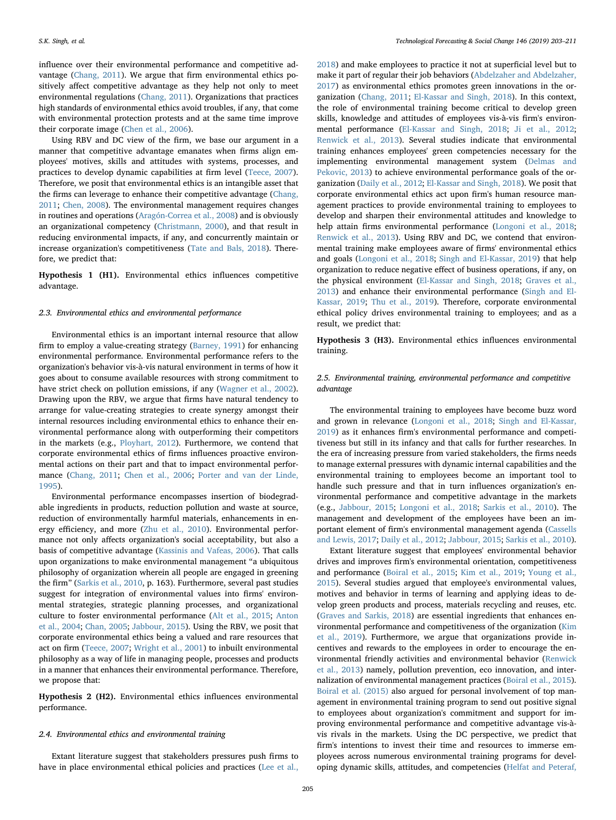influence over their environmental performance and competitive advantage [\(Chang, 2011](#page-7-11)). We argue that firm environmental ethics positively affect competitive advantage as they help not only to meet environmental regulations [\(Chang, 2011](#page-7-11)). Organizations that practices high standards of environmental ethics avoid troubles, if any, that come with environmental protection protests and at the same time improve their corporate image [\(Chen et al., 2006\)](#page-7-12).

Using RBV and DC view of the firm, we base our argument in a manner that competitive advantage emanates when firms align employees' motives, skills and attitudes with systems, processes, and practices to develop dynamic capabilities at firm level ([Teece, 2007](#page-8-16)). Therefore, we posit that environmental ethics is an intangible asset that the firms can leverage to enhance their competitive advantage [\(Chang,](#page-7-11) [2011;](#page-7-11) [Chen, 2008\)](#page-7-13). The environmental management requires changes in routines and operations [\(Aragón-Correa et al., 2008](#page-7-14)) and is obviously an organizational competency [\(Christmann, 2000](#page-7-15)), and that result in reducing environmental impacts, if any, and concurrently maintain or increase organization's competitiveness [\(Tate and Bals, 2018](#page-8-2)). Therefore, we predict that:

<span id="page-2-0"></span>Hypothesis 1 (H1). Environmental ethics influences competitive advantage.

## 2.3. Environmental ethics and environmental performance

Environmental ethics is an important internal resource that allow firm to employ a value-creating strategy ([Barney, 1991](#page-7-16)) for enhancing environmental performance. Environmental performance refers to the organization's behavior vis-à-vis natural environment in terms of how it goes about to consume available resources with strong commitment to have strict check on pollution emissions, if any [\(Wagner et al., 2002](#page-8-24)). Drawing upon the RBV, we argue that firms have natural tendency to arrange for value-creating strategies to create synergy amongst their internal resources including environmental ethics to enhance their environmental performance along with outperforming their competitors in the markets (e.g., [Ployhart, 2012\)](#page-8-25). Furthermore, we contend that corporate environmental ethics of firms influences proactive environmental actions on their part and that to impact environmental performance ([Chang, 2011](#page-7-11); [Chen et al., 2006;](#page-7-12) [Porter and van der Linde,](#page-8-26) [1995\)](#page-8-26).

Environmental performance encompasses insertion of biodegradable ingredients in products, reduction pollution and waste at source, reduction of environmentally harmful materials, enhancements in energy efficiency, and more ([Zhu et al., 2010\)](#page-8-27). Environmental performance not only affects organization's social acceptability, but also a basis of competitive advantage ([Kassinis and Vafeas, 2006](#page-8-28)). That calls upon organizations to make environmental management "a ubiquitous philosophy of organization wherein all people are engaged in greening the firm" ([Sarkis et al., 2010,](#page-8-29) p. 163). Furthermore, several past studies suggest for integration of environmental values into firms' environmental strategies, strategic planning processes, and organizational culture to foster environmental performance [\(Alt et al., 2015;](#page-7-17) [Anton](#page-7-18) [et al., 2004;](#page-7-18) [Chan, 2005](#page-7-19); [Jabbour, 2015](#page-8-30)). Using the RBV, we posit that corporate environmental ethics being a valued and rare resources that act on firm [\(Teece, 2007;](#page-8-16) [Wright et al., 2001\)](#page-8-15) to inbuilt environmental philosophy as a way of life in managing people, processes and products in a manner that enhances their environmental performance. Therefore, we propose that:

<span id="page-2-1"></span>Hypothesis 2 (H2). Environmental ethics influences environmental performance.

#### 2.4. Environmental ethics and environmental training

Extant literature suggest that stakeholders pressures push firms to have in place environmental ethical policies and practices [\(Lee et al.,](#page-8-31)

[2018\)](#page-8-31) and make employees to practice it not at superficial level but to make it part of regular their job behaviors ([Abdelzaher and Abdelzaher,](#page-7-20) [2017\)](#page-7-20) as environmental ethics promotes green innovations in the organization ([Chang, 2011](#page-7-11); [El-Kassar and Singh, 2018\)](#page-7-0). In this context, the role of environmental training become critical to develop green skills, knowledge and attitudes of employees vis-à-vis firm's environmental performance [\(El-Kassar and Singh, 2018](#page-7-0); [Ji et al., 2012](#page-8-32); [Renwick et al., 2013\)](#page-8-7). Several studies indicate that environmental training enhances employees' green competencies necessary for the implementing environmental management system ([Delmas and](#page-7-21) [Pekovic, 2013\)](#page-7-21) to achieve environmental performance goals of the organization [\(Daily et al., 2012](#page-7-22); [El-Kassar and Singh, 2018](#page-7-0)). We posit that corporate environmental ethics act upon firm's human resource management practices to provide environmental training to employees to develop and sharpen their environmental attitudes and knowledge to help attain firms environmental performance [\(Longoni et al., 2018](#page-8-0); [Renwick et al., 2013](#page-8-7)). Using RBV and DC, we contend that environmental training make employees aware of firms' environmental ethics and goals ([Longoni et al., 2018;](#page-8-0) Singh [and El-Kassar, 2019](#page-8-5)) that help organization to reduce negative effect of business operations, if any, on the physical environment [\(El-Kassar and Singh, 2018;](#page-7-0) [Graves et al.,](#page-7-23) [2013\)](#page-7-23) and enhance their environmental performance ([Singh and El-](#page-8-5)[Kassar, 2019](#page-8-5); [Thu et al., 2019\)](#page-8-33). Therefore, corporate environmental ethical policy drives environmental training to employees; and as a result, we predict that:

<span id="page-2-2"></span>Hypothesis 3 (H3). Environmental ethics influences environmental training.

# 2.5. Environmental training, environmental performance and competitive advantage

The environmental training to employees have become buzz word and grown in relevance [\(Longoni et al., 2018;](#page-8-0) [Singh and El-Kassar,](#page-8-5) [2019\)](#page-8-5) as it enhances firm's environmental performance and competitiveness but still in its infancy and that calls for further researches. In the era of increasing pressure from varied stakeholders, the firms needs to manage external pressures with dynamic internal capabilities and the environmental training to employees become an important tool to handle such pressure and that in turn influences organization's environmental performance and competitive advantage in the markets (e.g., [Jabbour, 2015;](#page-8-30) [Longoni et al., 2018;](#page-8-0) [Sarkis et al., 2010](#page-8-29)). The management and development of the employees have been an important element of firm's environmental management agenda [\(Cassells](#page-7-24) [and Lewis, 2017](#page-7-24); [Daily et al., 2012](#page-7-22); [Jabbour, 2015;](#page-8-30) [Sarkis et al., 2010](#page-8-29)).

Extant literature suggest that employees' environmental behavior drives and improves firm's environmental orientation, competitiveness and performance ([Boiral et al., 2015](#page-7-25); [Kim et al., 2019](#page-8-34); [Young et al.,](#page-8-35) [2015\)](#page-8-35). Several studies argued that employee's environmental values, motives and behavior in terms of learning and applying ideas to develop green products and process, materials recycling and reuses, etc. ([Graves and Sarkis, 2018\)](#page-7-26) are essential ingredients that enhances environmental performance and competitiveness of the organization [\(Kim](#page-8-34) [et al., 2019](#page-8-34)). Furthermore, we argue that organizations provide incentives and rewards to the employees in order to encourage the environmental friendly activities and environmental behavior [\(Renwick](#page-8-7) [et al., 2013](#page-8-7)) namely, pollution prevention, eco innovation, and internalization of environmental management practices ([Boiral et al., 2015](#page-7-25)). [Boiral et al. \(2015\)](#page-7-25) also argued for personal involvement of top management in environmental training program to send out positive signal to employees about organization's commitment and support for improving environmental performance and competitive advantage vis-àvis rivals in the markets. Using the DC perspective, we predict that firm's intentions to invest their time and resources to immerse employees across numerous environmental training programs for developing dynamic skills, attitudes, and competencies [\(Helfat and Peteraf,](#page-8-17)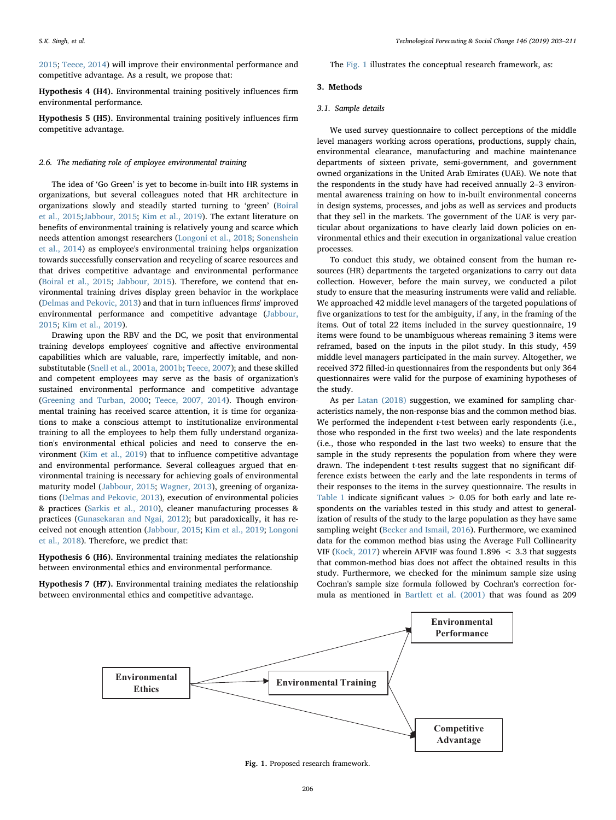[2015;](#page-8-17) [Teece, 2014](#page-8-13)) will improve their environmental performance and competitive advantage. As a result, we propose that:

<span id="page-3-2"></span>Hypothesis 4 (H4). Environmental training positively influences firm environmental performance.

<span id="page-3-3"></span>Hypothesis 5 (H5). Environmental training positively influences firm competitive advantage.

#### 2.6. The mediating role of employee environmental training

The idea of 'Go Green' is yet to become in-built into HR systems in organizations, but several colleagues noted that HR architecture in organizations slowly and steadily started turning to 'green' ([Boiral](#page-7-25) [et al., 2015;](#page-7-25)[Jabbour, 2015](#page-8-30); [Kim et al., 2019](#page-8-34)). The extant literature on benefits of environmental training is relatively young and scarce which needs attention amongst researchers [\(Longoni et al., 2018;](#page-8-0) [Sonenshein](#page-8-36) [et al., 2014](#page-8-36)) as employee's environmental training helps organization towards successfully conservation and recycling of scarce resources and that drives competitive advantage and environmental performance ([Boiral et al., 2015;](#page-7-25) [Jabbour, 2015\)](#page-8-30). Therefore, we contend that environmental training drives display green behavior in the workplace ([Delmas and Pekovic, 2013](#page-7-21)) and that in turn influences firms' improved environmental performance and competitive advantage ([Jabbour,](#page-8-30) [2015;](#page-8-30) [Kim et al., 2019](#page-8-34)).

Drawing upon the RBV and the DC, we posit that environmental training develops employees' cognitive and affective environmental capabilities which are valuable, rare, imperfectly imitable, and nonsubstitutable ([Snell et al., 2001a, 2001b;](#page-8-14) [Teece, 2007](#page-8-16)); and these skilled and competent employees may serve as the basis of organization's sustained environmental performance and competitive advantage ([Greening and Turban, 2000;](#page-7-27) [Teece, 2007, 2014\)](#page-8-16). Though environmental training has received scarce attention, it is time for organizations to make a conscious attempt to institutionalize environmental training to all the employees to help them fully understand organization's environmental ethical policies and need to conserve the environment [\(Kim et al., 2019](#page-8-34)) that to influence competitive advantage and environmental performance. Several colleagues argued that environmental training is necessary for achieving goals of environmental maturity model [\(Jabbour, 2015;](#page-8-30) [Wagner, 2013\)](#page-8-37), greening of organizations [\(Delmas and Pekovic, 2013](#page-7-21)), execution of environmental policies & practices ([Sarkis et al., 2010\)](#page-8-29), cleaner manufacturing processes & practices ([Gunasekaran and Ngai, 2012\)](#page-7-28); but paradoxically, it has received not enough attention [\(Jabbour, 2015;](#page-8-30) [Kim et al., 2019](#page-8-34); [Longoni](#page-8-0) [et al., 2018](#page-8-0)). Therefore, we predict that:

<span id="page-3-4"></span>Hypothesis 6 (H6). Environmental training mediates the relationship between environmental ethics and environmental performance.

<span id="page-3-5"></span><span id="page-3-1"></span>Hypothesis 7 (H7). Environmental training mediates the relationship between environmental ethics and competitive advantage.

The [Fig. 1](#page-3-1) illustrates the conceptual research framework, as:

#### <span id="page-3-0"></span>3. Methods

## 3.1. Sample details

We used survey questionnaire to collect perceptions of the middle level managers working across operations, productions, supply chain, environmental clearance, manufacturing and machine maintenance departments of sixteen private, semi-government, and government owned organizations in the United Arab Emirates (UAE). We note that the respondents in the study have had received annually 2–3 environmental awareness training on how to in-built environmental concerns in design systems, processes, and jobs as well as services and products that they sell in the markets. The government of the UAE is very particular about organizations to have clearly laid down policies on environmental ethics and their execution in organizational value creation processes.

To conduct this study, we obtained consent from the human resources (HR) departments the targeted organizations to carry out data collection. However, before the main survey, we conducted a pilot study to ensure that the measuring instruments were valid and reliable. We approached 42 middle level managers of the targeted populations of five organizations to test for the ambiguity, if any, in the framing of the items. Out of total 22 items included in the survey questionnaire, 19 items were found to be unambiguous whereas remaining 3 items were reframed, based on the inputs in the pilot study. In this study, 459 middle level managers participated in the main survey. Altogether, we received 372 filled-in questionnaires from the respondents but only 364 questionnaires were valid for the purpose of examining hypotheses of the study.

As per [Latan \(2018\)](#page-8-38) suggestion, we examined for sampling characteristics namely, the non-response bias and the common method bias. We performed the independent *t*-test between early respondents (i.e., those who responded in the first two weeks) and the late respondents (i.e., those who responded in the last two weeks) to ensure that the sample in the study represents the population from where they were drawn. The independent t-test results suggest that no significant difference exists between the early and the late respondents in terms of their responses to the items in the survey questionnaire. The results in [Table 1](#page-4-0) indicate significant values  $> 0.05$  for both early and late respondents on the variables tested in this study and attest to generalization of results of the study to the large population as they have same sampling weight ([Becker and Ismail, 2016\)](#page-7-29). Furthermore, we examined data for the common method bias using the Average Full Collinearity VIF [\(Kock, 2017](#page-8-39)) wherein AFVIF was found  $1.896 < 3.3$  that suggests that common-method bias does not affect the obtained results in this study. Furthermore, we checked for the minimum sample size using Cochran's sample size formula followed by Cochran's correction formula as mentioned in [Bartlett et al. \(2001\)](#page-7-30) that was found as 209



Fig. 1. Proposed research framework.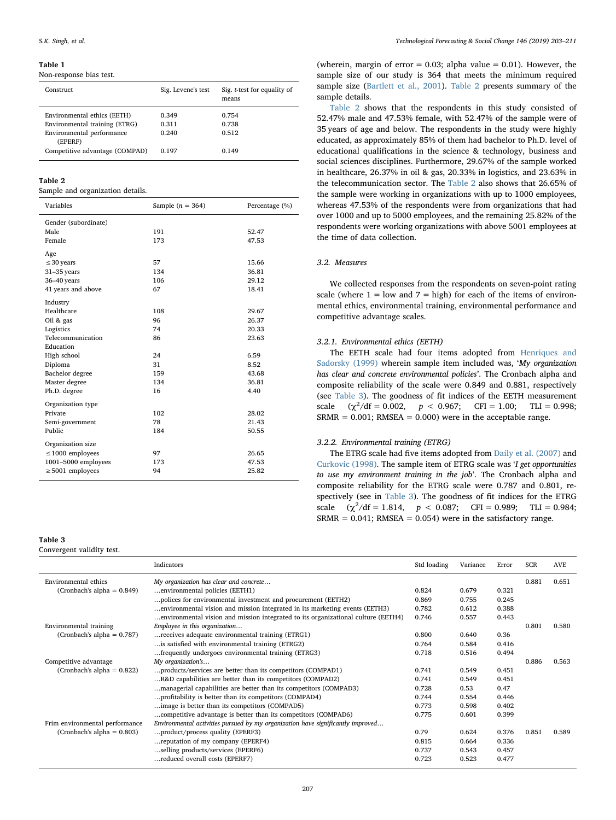#### <span id="page-4-0"></span>Table 1

Non-response bias test.

| Construct                                                                                                                              | Sig. Levene's test               | Sig. t-test for equality of<br>means |
|----------------------------------------------------------------------------------------------------------------------------------------|----------------------------------|--------------------------------------|
| Environmental ethics (EETH)<br>Environmental training (ETRG)<br>Environmental performance<br>(EPERF)<br>Competitive advantage (COMPAD) | 0.349<br>0.311<br>0.240<br>0.197 | 0.754<br>0.738<br>0.512<br>0.149     |

## <span id="page-4-1"></span>Table 2

Sample and organization details.

| Variables             | Sample $(n = 364)$ | Percentage (%) |
|-----------------------|--------------------|----------------|
| Gender (subordinate)  |                    |                |
| Male                  | 191                | 52.47          |
| Female                | 173                | 47.53          |
| Age                   |                    |                |
| $\leq$ 30 years       | 57                 | 15.66          |
| $31-35$ years         | 134                | 36.81          |
| 36-40 years           | 106                | 29.12          |
| 41 years and above    | 67                 | 18.41          |
| Industry              |                    |                |
| Healthcare            | 108                | 29.67          |
| Oil $&$ gas           | 96                 | 26.37          |
| Logistics             | 74                 | 20.33          |
| Telecommunication     | 86                 | 23.63          |
| Education             |                    |                |
| High school           | 24                 | 6.59           |
| Diploma               | 31                 | 8.52           |
| Bachelor degree       | 159                | 43.68          |
| Master degree         | 134                | 36.81          |
| Ph.D. degree          | 16                 | 4.40           |
| Organization type     |                    |                |
| Private               | 102                | 28.02          |
| Semi-government       | 78                 | 21.43          |
| Public                | 184                | 50.55          |
| Organization size     |                    |                |
| $\leq$ 1000 employees | 97                 | 26.65          |
| 1001-5000 employees   | 173                | 47.53          |
| $\geq$ 5001 employees | 94                 | 25.82          |
|                       |                    |                |

#### <span id="page-4-2"></span>Table 3

Convergent validity test.

(wherein, margin of error = 0.03; alpha value = 0.01). However, the sample size of our study is 364 that meets the minimum required sample size ([Bartlett et al., 2001](#page-7-30)). [Table 2](#page-4-1) presents summary of the sample details.

[Table 2](#page-4-1) shows that the respondents in this study consisted of 52.47% male and 47.53% female, with 52.47% of the sample were of 35 years of age and below. The respondents in the study were highly educated, as approximately 85% of them had bachelor to Ph.D. level of educational qualifications in the science & technology, business and social sciences disciplines. Furthermore, 29.67% of the sample worked in healthcare, 26.37% in oil & gas, 20.33% in logistics, and 23.63% in the telecommunication sector. The [Table 2](#page-4-1) also shows that 26.65% of the sample were working in organizations with up to 1000 employees, whereas 47.53% of the respondents were from organizations that had over 1000 and up to 5000 employees, and the remaining 25.82% of the respondents were working organizations with above 5001 employees at the time of data collection.

## 3.2. Measures

We collected responses from the respondents on seven-point rating scale (where  $1 =$  low and  $7 =$  high) for each of the items of environmental ethics, environmental training, environmental performance and competitive advantage scales.

## 3.2.1. Environmental ethics (EETH)

The EETH scale had four items adopted from [Henriques and](#page-8-40) [Sadorsky \(1999\)](#page-8-40) wherein sample item included was, 'My organization has clear and concrete environmental policies'. The Cronbach alpha and composite reliability of the scale were 0.849 and 0.881, respectively (see [Table 3](#page-4-2)). The goodness of fit indices of the EETH measurement scale  $(\chi^2/\text{df} = 0.002, p < 0.967; \text{ CFI} = 1.00; \text{ TLI} = 0.998;$  $SRMR = 0.001$ ;  $RMSEA = 0.000$ ) were in the acceptable range.

## 3.2.2. Environmental training (ETRG)

The ETRG scale had five items adopted from [Daily et al. \(2007\)](#page-7-31) and [Curkovic \(1998\)](#page-7-32). The sample item of ETRG scale was 'I get opportunities to use my environment training in the job'. The Cronbach alpha and composite reliability for the ETRG scale were 0.787 and 0.801, respectively (see in [Table 3\)](#page-4-2). The goodness of fit indices for the ETRG scale  $(\chi^2/df = 1.814, p < 0.087; CFI = 0.989; TLI = 0.984;$  $SRMR = 0.041$ ;  $RMSEA = 0.054$ ) were in the satisfactory range.

|                                | Indicators                                                                        | Std loading | Variance | Error | SCR   | AVE   |
|--------------------------------|-----------------------------------------------------------------------------------|-------------|----------|-------|-------|-------|
| Environmental ethics           | My organization has clear and concrete                                            |             |          |       | 0.881 | 0.651 |
| (Cronbach's alpha = $0.849$ )  | environmental policies (EETH1)                                                    | 0.824       | 0.679    | 0.321 |       |       |
|                                | polices for environmental investment and procurement (EETH2).                     | 0.869       | 0.755    | 0.245 |       |       |
|                                | environmental vision and mission integrated in its marketing events (EETH3)       | 0.782       | 0.612    | 0.388 |       |       |
|                                | environmental vision and mission integrated to its organizational culture (EETH4) | 0.746       | 0.557    | 0.443 |       |       |
| Environmental training         | Employee in this organization                                                     |             |          |       | 0.801 | 0.580 |
| (Cronbach's alpha = $0.787$ )  | receives adequate environmental training (ETRG1).                                 | 0.800       | 0.640    | 0.36  |       |       |
|                                | is satisfied with environmental training (ETRG2).                                 | 0.764       | 0.584    | 0.416 |       |       |
|                                | frequently undergoes environmental training (ETRG3).                              | 0.718       | 0.516    | 0.494 |       |       |
| Competitive advantage          | My organization's                                                                 |             |          |       | 0.886 | 0.563 |
| (Cronbach's alpha = $0.822$ )  | products/services are better than its competitors (COMPAD1)                       | 0.741       | 0.549    | 0.451 |       |       |
|                                | R&D capabilities are better than its competitors (COMPAD2)                        | 0.741       | 0.549    | 0.451 |       |       |
|                                | managerial capabilities are better than its competitors (COMPAD3).                | 0.728       | 0.53     | 0.47  |       |       |
|                                | profitability is better than its competitors (COMPAD4)                            | 0.744       | 0.554    | 0.446 |       |       |
|                                | image is better than its competitors (COMPAD5).                                   | 0.773       | 0.598    | 0.402 |       |       |
|                                | competitive advantage is better than its competitors (COMPAD6)                    | 0.775       | 0.601    | 0.399 |       |       |
| Frim environmental performance | Environmental activities pursued by my organization have significantly improved   |             |          |       |       |       |
| (Cronbach's alpha = $0.803$ )  | product/process quality (EPERF3)                                                  | 0.79        | 0.624    | 0.376 | 0.851 | 0.589 |
|                                | reputation of my company (EPERF4)                                                 | 0.815       | 0.664    | 0.336 |       |       |
|                                | selling products/services (EPERF6)                                                | 0.737       | 0.543    | 0.457 |       |       |
|                                | reduced overall costs (EPERF7)                                                    | 0.723       | 0.523    | 0.477 |       |       |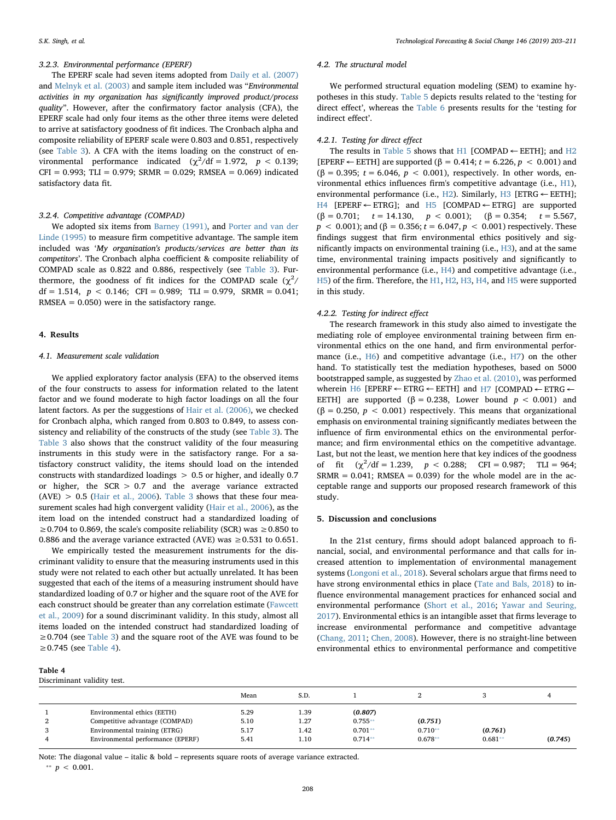#### 3.2.3. Environmental performance (EPERF)

The EPERF scale had seven items adopted from [Daily et al. \(2007\)](#page-7-31) and [Melnyk et al. \(2003\)](#page-8-41) and sample item included was "Environmental activities in my organization has significantly improved product/process quality". However, after the confirmatory factor analysis (CFA), the EPERF scale had only four items as the other three items were deleted to arrive at satisfactory goodness of fit indices. The Cronbach alpha and composite reliability of EPERF scale were 0.803 and 0.851, respectively (see [Table 3](#page-4-2)). A CFA with the items loading on the construct of environmental performance indicated  $(\chi^2/df = 1.972, p < 0.139;$  $CFI = 0.993$ ; TLI = 0.979; SRMR = 0.029; RMSEA = 0.069) indicated satisfactory data fit.

## 3.2.4. Competitive advantage (COMPAD)

We adopted six items from [Barney \(1991\)](#page-7-16), and [Porter and van der](#page-8-26) [Linde \(1995\)](#page-8-26) to measure firm competitive advantage. The sample item included was 'My organization's products/services are better than its competitors'. The Cronbach alpha coefficient & composite reliability of COMPAD scale as 0.822 and 0.886, respectively (see [Table 3](#page-4-2)). Furthermore, the goodness of fit indices for the COMPAD scale  $(\chi^2/$  $df = 1.514$ ,  $p < 0.146$ ; CFI = 0.989; TLI = 0.979, SRMR = 0.041;  $RMSEA = 0.050$ ) were in the satisfactory range.

#### <span id="page-5-0"></span>4. Results

#### 4.1. Measurement scale validation

We applied exploratory factor analysis (EFA) to the observed items of the four constructs to assess for information related to the latent factor and we found moderate to high factor loadings on all the four latent factors. As per the suggestions of [Hair et al. \(2006\),](#page-8-42) we checked for Cronbach alpha, which ranged from 0.803 to 0.849, to assess consistency and reliability of the constructs of the study (see [Table 3\)](#page-4-2). The [Table 3](#page-4-2) also shows that the construct validity of the four measuring instruments in this study were in the satisfactory range. For a satisfactory construct validity, the items should load on the intended constructs with standardized loadings > 0.5 or higher, and ideally 0.7 or higher, the SCR > 0.7 and the average variance extracted  $(AVE) > 0.5$  ([Hair et al., 2006](#page-8-42)). [Table 3](#page-4-2) shows that these four measurement scales had high convergent validity [\(Hair et al., 2006](#page-8-42)), as the item load on the intended construct had a standardized loading of  $\geq$  0.704 to 0.869, the scale's composite reliability (SCR) was  $\geq$  0.850 to 0.886 and the average variance extracted (AVE) was  $\geq$  0.531 to 0.651.

We empirically tested the measurement instruments for the discriminant validity to ensure that the measuring instruments used in this study were not related to each other but actually unrelated. It has been suggested that each of the items of a measuring instrument should have standardized loading of 0.7 or higher and the square root of the AVE for each construct should be greater than any correlation estimate ([Fawcett](#page-7-33) [et al., 2009](#page-7-33)) for a sound discriminant validity. In this study, almost all items loaded on the intended construct had standardized loading of ≥0.704 (see [Table 3\)](#page-4-2) and the square root of the AVE was found to be  $\geq$  0.745 (see [Table 4\)](#page-5-2).

#### <span id="page-5-2"></span>Table 4

Discriminant validity test.

|   |                                   | Mean | S.D. |           |           |           |         |
|---|-----------------------------------|------|------|-----------|-----------|-----------|---------|
|   | Environmental ethics (EETH)       | 5.29 | 1.39 | (0.807)   |           |           |         |
| ▵ | Competitive advantage (COMPAD)    | 5.10 | 1.27 | $0.755**$ | (0.751)   |           |         |
|   | Environmental training (ETRG)     | 5.17 | 1.42 | $0.701**$ | $0.710**$ | (0.761)   |         |
|   | Environmental performance (EPERF) | 5.41 | 1.10 | $0.714**$ | 0.678     | $0.681**$ | (0.745) |

<span id="page-5-3"></span>Note: The diagonal value – italic & bold – represents square roots of average variance extracted. \*\*  $p$  < 0.001.

#### 4.2. The structural model

We performed structural equation modeling (SEM) to examine hypotheses in this study. [Table 5](#page-6-0) depicts results related to the 'testing for direct effect', whereas the [Table 6](#page-6-1) presents results for the 'testing for indirect effect'.

#### 4.2.1. Testing for direct effect

The results in [Table 5](#page-6-0) shows that [H1](#page-2-0) [COMPAD  $\leftarrow$  EETH]; and [H2](#page-2-1) [EPERF ← EETH] are supported (β = 0.414;  $t = 6.226$ ,  $p < 0.001$ ) and  $(β = 0.395; t = 6.046, p < 0.001)$ , respectively. In other words, environmental ethics influences firm's competitive advantage (i.e., [H1](#page-2-0)), environmental performance (i.e., [H2](#page-2-1)). Similarly, [H3](#page-2-2) [ETRG  $\leftarrow$  EETH]; [H4](#page-3-2) [EPERF  $\leftarrow$  ETRG]; and [H5](#page-3-3) [COMPAD  $\leftarrow$  ETRG] are supported ( $\beta = 0.701$ ;  $t = 14.130$ ,  $p < 0.001$ ); ( $\beta = 0.354$ ;  $t = 5.567$ ,  $p < 0.001$ ); and (β = 0.356; t = 6.047, p < 0.001) respectively. These findings suggest that firm environmental ethics positively and significantly impacts on environmental training (i.e., [H3\)](#page-2-2), and at the same time, environmental training impacts positively and significantly to environmental performance (i.e., [H4\)](#page-3-2) and competitive advantage (i.e., [H5](#page-3-3)) of the firm. Therefore, the [H1](#page-2-0), [H2](#page-2-1), [H3](#page-2-2), [H4,](#page-3-2) and [H5](#page-3-3) were supported in this study.

## 4.2.2. Testing for indirect effect

The research framework in this study also aimed to investigate the mediating role of employee environmental training between firm environmental ethics on the one hand, and firm environmental performance (i.e., H<sub>6</sub>) and competitive advantage (i.e., H<sub>7</sub>) on the other hand. To statistically test the mediation hypotheses, based on 5000 bootstrapped sample, as suggested by [Zhao et al. \(2010\),](#page-8-43) was performed wherein [H6](#page-3-4) [EPERF  $\leftarrow$  ETRG  $\leftarrow$  EETH] and [H7](#page-3-5) [COMPAD  $\leftarrow$  ETRG  $\leftarrow$ EETH] are supported ( $\beta = 0.238$ , Lower bound  $p < 0.001$ ) and ( $\beta$  = 0.250,  $p$  < 0.001) respectively. This means that organizational emphasis on environmental training significantly mediates between the influence of firm environmental ethics on the environmental performance; and firm environmental ethics on the competitive advantage. Last, but not the least, we mention here that key indices of the goodness of fit  $(\chi^2/df = 1.239, p < 0.288; CFI = 0.987; TLI = 964;$  $SRMR = 0.041$ ;  $RMSEA = 0.039$ ) for the whole model are in the acceptable range and supports our proposed research framework of this study.

## <span id="page-5-1"></span>5. Discussion and conclusions

In the 21st century, firms should adopt balanced approach to financial, social, and environmental performance and that calls for increased attention to implementation of environmental management systems ([Longoni et al., 2018\)](#page-8-0). Several scholars argue that firms need to have strong environmental ethics in place ([Tate and Bals, 2018\)](#page-8-2) to influence environmental management practices for enhanced social and environmental performance [\(Short et al., 2016](#page-8-3); [Yawar and Seuring,](#page-8-4) [2017\)](#page-8-4). Environmental ethics is an intangible asset that firms leverage to increase environmental performance and competitive advantage ([Chang, 2011](#page-7-11); [Chen, 2008\)](#page-7-13). However, there is no straight-line between environmental ethics to environmental performance and competitive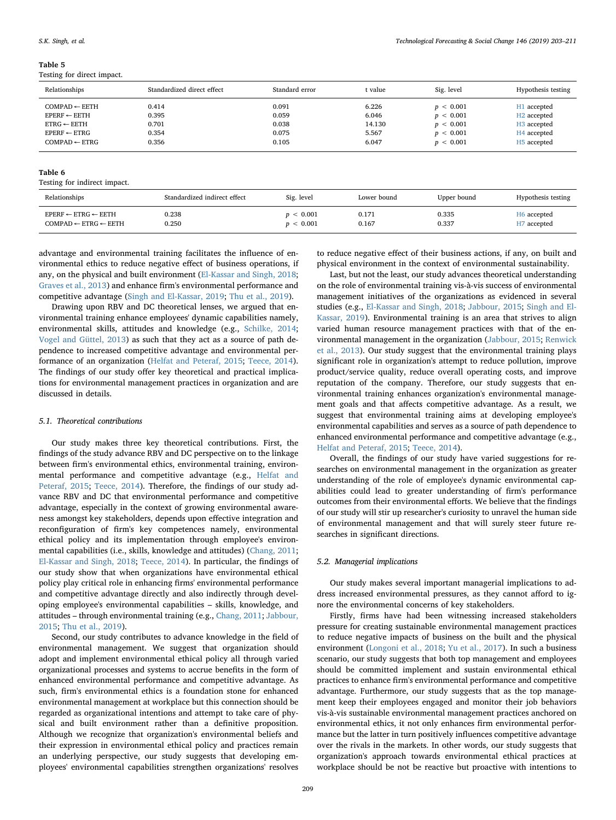#### <span id="page-6-0"></span>Table 5

Testing for direct impact.

| Relationships            | Standardized direct effect | Standard error | : value | Sig. level | Hypothesis testing      |
|--------------------------|----------------------------|----------------|---------|------------|-------------------------|
| $COMPAD \leftarrow EETH$ | 0.414                      | 0.091          | 6.226   | p < 0.001  | H <sub>1</sub> accepted |
| $EPERF \leftarrow EETH$  | 0.395                      | 0.059          | 6.046   | p < 0.001  | H <sub>2</sub> accepted |
| $ETRG \leftarrow EETH$   | 0.701                      | 0.038          | 14.130  | p < 0.001  | H <sub>3</sub> accepted |
| $EPERF \leftarrow FTRG$  | 0.354                      | 0.075          | 5.567   | p < 0.001  | H <sub>4</sub> accepted |
| $COMPAD \leftarrow FTRG$ | 0.356                      | 0.105          | 6.047   | p < 0.001  | H <sub>5</sub> accepted |

## <span id="page-6-1"></span>Table 6

Testing for indirect impact.

| Relationships                            | Standardized indirect effect | Sig. level | Lower bound | Upper bound | Hypothesis testing      |
|------------------------------------------|------------------------------|------------|-------------|-------------|-------------------------|
| $EPERF \leftarrow ETRG \leftarrow EETH$  | 0.238                        | p < 0.001  | 0.171       | 0.335       | H <sub>6</sub> accepted |
| $COMPAD \leftarrow ETRG \leftarrow EETH$ | 0.250                        | p < 0.001  | 0.167       | 0.337       | H7 accepted             |

advantage and environmental training facilitates the influence of environmental ethics to reduce negative effect of business operations, if any, on the physical and built environment ([El-Kassar and Singh, 2018](#page-7-0); [Graves et al., 2013](#page-7-23)) and enhance firm's environmental performance and competitive advantage ([Singh and El-Kassar, 2019;](#page-8-5) [Thu et al., 2019](#page-8-33)).

Drawing upon RBV and DC theoretical lenses, we argued that environmental training enhance employees' dynamic capabilities namely, environmental skills, attitudes and knowledge (e.g., [Schilke, 2014](#page-8-20); [Vogel and Güttel, 2013\)](#page-8-21) as such that they act as a source of path dependence to increased competitive advantage and environmental performance of an organization ([Helfat and Peteraf, 2015;](#page-8-17) [Teece, 2014](#page-8-13)). The findings of our study offer key theoretical and practical implications for environmental management practices in organization and are discussed in details.

## 5.1. Theoretical contributions

Our study makes three key theoretical contributions. First, the findings of the study advance RBV and DC perspective on to the linkage between firm's environmental ethics, environmental training, environmental performance and competitive advantage (e.g., [Helfat and](#page-8-17) [Peteraf, 2015](#page-8-17); [Teece, 2014](#page-8-13)). Therefore, the findings of our study advance RBV and DC that environmental performance and competitive advantage, especially in the context of growing environmental awareness amongst key stakeholders, depends upon effective integration and reconfiguration of firm's key competences namely, environmental ethical policy and its implementation through employee's environmental capabilities (i.e., skills, knowledge and attitudes) ([Chang, 2011](#page-7-11); [El-Kassar and Singh, 2018](#page-7-0); [Teece, 2014](#page-8-13)). In particular, the findings of our study show that when organizations have environmental ethical policy play critical role in enhancing firms' environmental performance and competitive advantage directly and also indirectly through developing employee's environmental capabilities – skills, knowledge, and attitudes – through environmental training (e.g., [Chang, 2011;](#page-7-11) [Jabbour,](#page-8-30) [2015;](#page-8-30) [Thu et al., 2019\)](#page-8-33).

Second, our study contributes to advance knowledge in the field of environmental management. We suggest that organization should adopt and implement environmental ethical policy all through varied organizational processes and systems to accrue benefits in the form of enhanced environmental performance and competitive advantage. As such, firm's environmental ethics is a foundation stone for enhanced environmental management at workplace but this connection should be regarded as organizational intentions and attempt to take care of physical and built environment rather than a definitive proposition. Although we recognize that organization's environmental beliefs and their expression in environmental ethical policy and practices remain an underlying perspective, our study suggests that developing employees' environmental capabilities strengthen organizations' resolves to reduce negative effect of their business actions, if any, on built and physical environment in the context of environmental sustainability.

Last, but not the least, our study advances theoretical understanding on the role of environmental training vis-à-vis success of environmental management initiatives of the organizations as evidenced in several studies (e.g., [El-Kassar and Singh, 2018;](#page-7-0) [Jabbour, 2015;](#page-8-30) [Singh and El-](#page-8-5)[Kassar, 2019\)](#page-8-5). Environmental training is an area that strives to align varied human resource management practices with that of the environmental management in the organization ([Jabbour, 2015;](#page-8-30) [Renwick](#page-8-7) [et al., 2013\)](#page-8-7). Our study suggest that the environmental training plays significant role in organization's attempt to reduce pollution, improve product/service quality, reduce overall operating costs, and improve reputation of the company. Therefore, our study suggests that environmental training enhances organization's environmental management goals and that affects competitive advantage. As a result, we suggest that environmental training aims at developing employee's environmental capabilities and serves as a source of path dependence to enhanced environmental performance and competitive advantage (e.g., [Helfat and Peteraf, 2015](#page-8-17); [Teece, 2014](#page-8-13)).

Overall, the findings of our study have varied suggestions for researches on environmental management in the organization as greater understanding of the role of employee's dynamic environmental capabilities could lead to greater understanding of firm's performance outcomes from their environmental efforts. We believe that the findings of our study will stir up researcher's curiosity to unravel the human side of environmental management and that will surely steer future researches in significant directions.

#### 5.2. Managerial implications

Our study makes several important managerial implications to address increased environmental pressures, as they cannot afford to ignore the environmental concerns of key stakeholders.

Firstly, firms have had been witnessing increased stakeholders pressure for creating sustainable environmental management practices to reduce negative impacts of business on the built and the physical environment [\(Longoni et al., 2018;](#page-8-0) [Yu et al., 2017\)](#page-8-1). In such a business scenario, our study suggests that both top management and employees should be committed implement and sustain environmental ethical practices to enhance firm's environmental performance and competitive advantage. Furthermore, our study suggests that as the top management keep their employees engaged and monitor their job behaviors vis-à-vis sustainable environmental management practices anchored on environmental ethics, it not only enhances firm environmental performance but the latter in turn positively influences competitive advantage over the rivals in the markets. In other words, our study suggests that organization's approach towards environmental ethical practices at workplace should be not be reactive but proactive with intentions to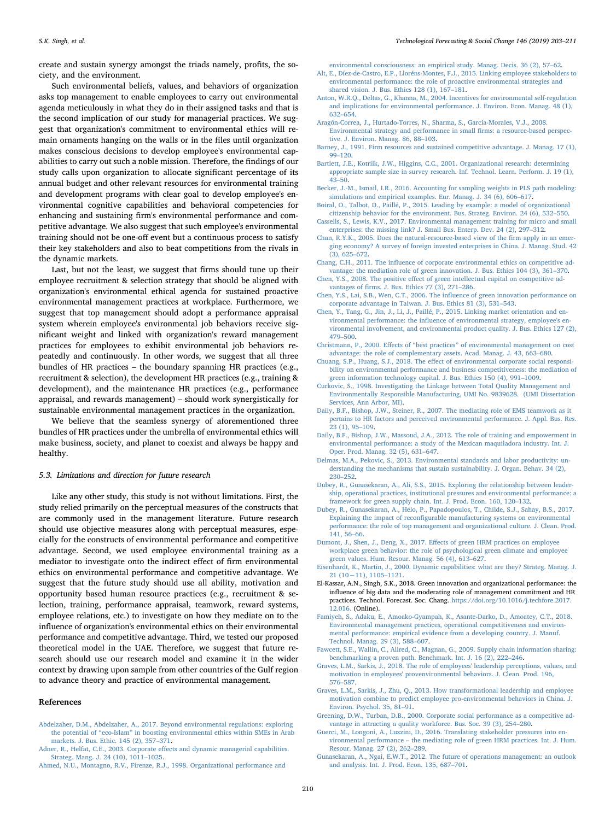create and sustain synergy amongst the triads namely, profits, the society, and the environment.

Such environmental beliefs, values, and behaviors of organization asks top management to enable employees to carry out environmental agenda meticulously in what they do in their assigned tasks and that is the second implication of our study for managerial practices. We suggest that organization's commitment to environmental ethics will remain ornaments hanging on the walls or in the files until organization makes conscious decisions to develop employee's environmental capabilities to carry out such a noble mission. Therefore, the findings of our study calls upon organization to allocate significant percentage of its annual budget and other relevant resources for environmental training and development programs with clear goal to develop employee's environmental cognitive capabilities and behavioral competencies for enhancing and sustaining firm's environmental performance and competitive advantage. We also suggest that such employee's environmental training should not be one-off event but a continuous process to satisfy their key stakeholders and also to beat competitions from the rivals in the dynamic markets.

Last, but not the least, we suggest that firms should tune up their employee recruitment & selection strategy that should be aligned with organization's environmental ethical agenda for sustained proactive environmental management practices at workplace. Furthermore, we suggest that top management should adopt a performance appraisal system wherein employee's environmental job behaviors receive significant weight and linked with organization's reward management practices for employees to exhibit environmental job behaviors repeatedly and continuously. In other words, we suggest that all three bundles of HR practices – the boundary spanning HR practices (e.g., recruitment & selection), the development HR practices (e.g., training & development), and the maintenance HR practices (e.g., performance appraisal, and rewards management) – should work synergistically for sustainable environmental management practices in the organization.

We believe that the seamless synergy of aforementioned three bundles of HR practices under the umbrella of environmental ethics will make business, society, and planet to coexist and always be happy and healthy.

## 5.3. Limitations and direction for future research

Like any other study, this study is not without limitations. First, the study relied primarily on the perceptual measures of the constructs that are commonly used in the management literature. Future research should use objective measures along with perceptual measures, especially for the constructs of environmental performance and competitive advantage. Second, we used employee environmental training as a mediator to investigate onto the indirect effect of firm environmental ethics on environmental performance and competitive advantage. We suggest that the future study should use all ability, motivation and opportunity based human resource practices (e.g., recruitment & selection, training, performance appraisal, teamwork, reward systems, employee relations, etc.) to investigate on how they mediate on to the influence of organization's environmental ethics on their environmental performance and competitive advantage. Third, we tested our proposed theoretical model in the UAE. Therefore, we suggest that future research should use our research model and examine it in the wider context by drawing upon sample from other countries of the Gulf region to advance theory and practice of environmental management.

#### References

<span id="page-7-20"></span>[Abdelzaher, D.M., Abdelzaher, A., 2017. Beyond environmental regulations: exploring](http://refhub.elsevier.com/S0040-1625(18)30735-2/rf0005) the potential of "eco-Islam" [in boosting environmental ethics within SMEs in Arab](http://refhub.elsevier.com/S0040-1625(18)30735-2/rf0005) [markets. J. Bus. Ethic. 145 \(2\), 357](http://refhub.elsevier.com/S0040-1625(18)30735-2/rf0005)–371.

<span id="page-7-10"></span><span id="page-7-9"></span>[Strateg. Mang. J. 24 \(10\), 1011](http://refhub.elsevier.com/S0040-1625(18)30735-2/rf9015)–1025. [Ahmed, N.U., Montagno, R.V., Firenze, R.J., 1998. Organizational performance and](http://refhub.elsevier.com/S0040-1625(18)30735-2/rf0010) [environmental consciousness: an empirical study. Manag. Decis. 36 \(2\), 57](http://refhub.elsevier.com/S0040-1625(18)30735-2/rf0010)–62.

- <span id="page-7-17"></span>[Alt, E., Díez-de-Castro, E.P., Lloréns-Montes, F.J., 2015. Linking employee stakeholders to](http://refhub.elsevier.com/S0040-1625(18)30735-2/rf0015) [environmental performance: the role of proactive environmental strategies and](http://refhub.elsevier.com/S0040-1625(18)30735-2/rf0015) [shared vision. J. Bus. Ethics 128 \(1\), 167](http://refhub.elsevier.com/S0040-1625(18)30735-2/rf0015)–181.
- <span id="page-7-18"></span>[Anton, W.R.Q., Deltas, G., Khanna, M., 2004. Incentives for environmental self-regulation](http://refhub.elsevier.com/S0040-1625(18)30735-2/rf0020) [and implications for environmental performance. J. Environ. Econ. Manag. 48 \(1\),](http://refhub.elsevier.com/S0040-1625(18)30735-2/rf0020) 632–[654](http://refhub.elsevier.com/S0040-1625(18)30735-2/rf0020).
- <span id="page-7-14"></span>[Aragón-Correa, J., Hurtado-Torres, N., Sharma, S., García-Morales, V.J., 2008.](http://refhub.elsevier.com/S0040-1625(18)30735-2/rf0025) [Environmental strategy and performance in small](http://refhub.elsevier.com/S0040-1625(18)30735-2/rf0025) firms: a resource-based perspec[tive. J. Environ. Manag. 86, 88](http://refhub.elsevier.com/S0040-1625(18)30735-2/rf0025)–103.
- <span id="page-7-16"></span>[Barney, J., 1991. Firm resources and sustained competitive advantage. J. Manag. 17 \(1\),](http://refhub.elsevier.com/S0040-1625(18)30735-2/rf0030) 99–[120.](http://refhub.elsevier.com/S0040-1625(18)30735-2/rf0030)
- <span id="page-7-30"></span>[Bartlett, J.E., Kotrilk, J.W., Higgins, C.C., 2001. Organizational research: determining](http://refhub.elsevier.com/S0040-1625(18)30735-2/rf0035) [appropriate sample size in survey research. Inf. Technol. Learn. Perform. J. 19 \(1\),](http://refhub.elsevier.com/S0040-1625(18)30735-2/rf0035) 43–[50](http://refhub.elsevier.com/S0040-1625(18)30735-2/rf0035).
- <span id="page-7-29"></span>[Becker, J.-M., Ismail, I.R., 2016. Accounting for sampling weights in PLS path modeling:](http://refhub.elsevier.com/S0040-1625(18)30735-2/rf0040) [simulations and empirical examples. Eur. Manag. J. 34 \(6\), 606](http://refhub.elsevier.com/S0040-1625(18)30735-2/rf0040)–617.
- <span id="page-7-25"></span>[Boiral, O., Talbot, D., Paillé, P., 2015. Leading by example: a model of organizational](http://refhub.elsevier.com/S0040-1625(18)30735-2/rf0045) [citizenship behavior for the environment. Bus. Strateg. Environ. 24 \(6\), 532](http://refhub.elsevier.com/S0040-1625(18)30735-2/rf0045)–550.
- <span id="page-7-24"></span>[Cassells, S., Lewis, K.V., 2017. Environmental management training for micro and small](http://refhub.elsevier.com/S0040-1625(18)30735-2/rf0050) [enterprises: the missing link? J. Small Bus. Enterp. Dev. 24 \(2\), 297](http://refhub.elsevier.com/S0040-1625(18)30735-2/rf0050)–312.
- <span id="page-7-19"></span>[Chan, R.Y.K., 2005. Does the natural-resource-based view of the](http://refhub.elsevier.com/S0040-1625(18)30735-2/rf0055) firm apply in an emer[ging economy? A survey of foreign invested enterprises in China. J. Manag. Stud. 42](http://refhub.elsevier.com/S0040-1625(18)30735-2/rf0055)  $(3)$ , 625–672.
- <span id="page-7-11"></span>Chang, C.H., 2011. The infl[uence of corporate environmental ethics on competitive ad](http://refhub.elsevier.com/S0040-1625(18)30735-2/rf0060)[vantage: the mediation role of green innovation. J. Bus. Ethics 104 \(3\), 361](http://refhub.elsevier.com/S0040-1625(18)30735-2/rf0060)–370.
- <span id="page-7-13"></span>Chen, Y.S., 2008. The positive eff[ect of green intellectual capital on competitive ad](http://refhub.elsevier.com/S0040-1625(18)30735-2/rf0065)vantages of fi[rms. J. Bus. Ethics 77 \(3\), 271](http://refhub.elsevier.com/S0040-1625(18)30735-2/rf0065)–286.
- <span id="page-7-12"></span>[Chen, Y.S., Lai, S.B., Wen, C.T., 2006. The in](http://refhub.elsevier.com/S0040-1625(18)30735-2/rf0070)fluence of green innovation performance on [corporate advantage in Taiwan. J. Bus. Ethics 81 \(3\), 531](http://refhub.elsevier.com/S0040-1625(18)30735-2/rf0070)–543.
- <span id="page-7-6"></span>[Chen, Y., Tang, G., Jin, J., Li, J., Paillé, P., 2015. Linking market orientation and en](http://refhub.elsevier.com/S0040-1625(18)30735-2/rf0075)vironmental performance: the influence [of environmental strategy, employee's en](http://refhub.elsevier.com/S0040-1625(18)30735-2/rf0075)[vironmental involvement, and environmental product quality. J. Bus. Ethics 127 \(2\),](http://refhub.elsevier.com/S0040-1625(18)30735-2/rf0075) 479–[500](http://refhub.elsevier.com/S0040-1625(18)30735-2/rf0075).
- <span id="page-7-15"></span>Christmann, P., 2000. Effects of "best practices" [of environmental management on cost](http://refhub.elsevier.com/S0040-1625(18)30735-2/rf0080) [advantage: the role of complementary assets. Acad. Manag. J. 43, 663](http://refhub.elsevier.com/S0040-1625(18)30735-2/rf0080)–680.
- <span id="page-7-2"></span>Chuang, S.P., Huang, S.J., 2018. The eff[ect of environmental corporate social responsi](http://refhub.elsevier.com/S0040-1625(18)30735-2/rf0090)[bility on environmental performance and business competitiveness: the mediation of](http://refhub.elsevier.com/S0040-1625(18)30735-2/rf0090) [green information technology capital. J. Bus. Ethics 150 \(4\), 991](http://refhub.elsevier.com/S0040-1625(18)30735-2/rf0090)–1009.
- <span id="page-7-32"></span>[Curkovic, S., 1998. Investigating the Linkage between Total Quality Management and](http://refhub.elsevier.com/S0040-1625(18)30735-2/rf0095) [Environmentally Responsible Manufacturing, UMI No. 9839628. \(UMI Dissertation](http://refhub.elsevier.com/S0040-1625(18)30735-2/rf0095) [Services, Ann Arbor, MI\)](http://refhub.elsevier.com/S0040-1625(18)30735-2/rf0095).
- <span id="page-7-31"></span>[Daily, B.F., Bishop, J.W., Steiner, R., 2007. The mediating role of EMS teamwork as it](http://refhub.elsevier.com/S0040-1625(18)30735-2/rf0100) [pertains to HR factors and perceived environmental performance. J. Appl. Bus. Res.](http://refhub.elsevier.com/S0040-1625(18)30735-2/rf0100) [23 \(1\), 95](http://refhub.elsevier.com/S0040-1625(18)30735-2/rf0100)–109.
- <span id="page-7-22"></span>[Daily, B.F., Bishop, J.W., Massoud, J.A., 2012. The role of training and empowerment in](http://refhub.elsevier.com/S0040-1625(18)30735-2/rf0105) [environmental performance: a study of the Mexican maquiladora industry. Int. J.](http://refhub.elsevier.com/S0040-1625(18)30735-2/rf0105) [Oper. Prod. Manag. 32 \(5\), 631](http://refhub.elsevier.com/S0040-1625(18)30735-2/rf0105)–647.
- <span id="page-7-21"></span>[Delmas, M.A., Pekovic, S., 2013. Environmental standards and labor productivity: un](http://refhub.elsevier.com/S0040-1625(18)30735-2/rf0110)[derstanding the mechanisms that sustain sustainability. J. Organ. Behav. 34 \(2\),](http://refhub.elsevier.com/S0040-1625(18)30735-2/rf0110) 230–[252](http://refhub.elsevier.com/S0040-1625(18)30735-2/rf0110).
- <span id="page-7-4"></span>[Dubey, R., Gunasekaran, A., Ali, S.S., 2015. Exploring the relationship between leader](http://refhub.elsevier.com/S0040-1625(18)30735-2/rf0115)[ship, operational practices, institutional pressures and environmental performance: a](http://refhub.elsevier.com/S0040-1625(18)30735-2/rf0115) [framework for green supply chain. Int. J. Prod. Econ. 160, 120](http://refhub.elsevier.com/S0040-1625(18)30735-2/rf0115)–132.
- <span id="page-7-5"></span>[Dubey, R., Gunasekaran, A., Helo, P., Papadopoulos, T., Childe, S.J., Sahay, B.S., 2017.](http://refhub.elsevier.com/S0040-1625(18)30735-2/rf0120) Explaining the impact of reconfi[gurable manufacturing systems on environmental](http://refhub.elsevier.com/S0040-1625(18)30735-2/rf0120) [performance: the role of top management and organizational culture. J. Clean. Prod.](http://refhub.elsevier.com/S0040-1625(18)30735-2/rf0120) [141, 56](http://refhub.elsevier.com/S0040-1625(18)30735-2/rf0120)–66.
- <span id="page-7-7"></span>Dumont, J., Shen, J., Deng, X., 2017. Eff[ects of green HRM practices on employee](http://refhub.elsevier.com/S0040-1625(18)30735-2/rf0125) [workplace green behavior: the role of psychological green climate and employee](http://refhub.elsevier.com/S0040-1625(18)30735-2/rf0125) [green values. Hum. Resour. Manag. 56 \(4\), 613](http://refhub.elsevier.com/S0040-1625(18)30735-2/rf0125)–627.
- <span id="page-7-8"></span>[Eisenhardt, K., Martin, J., 2000. Dynamic capabilities: what are they? Strateg. Manag. J.](http://refhub.elsevier.com/S0040-1625(18)30735-2/rf0130) 21 (10−[11\), 1105](http://refhub.elsevier.com/S0040-1625(18)30735-2/rf0130)–1121.
- <span id="page-7-0"></span>El-Kassar, A.N., Singh, S.K., 2018. Green innovation and organizational performance: the influence of big data and the moderating role of management commitment and HR practices. Technol. Forecast. Soc. Chang. [https://doi.org/10.1016/j.techfore.2017.](https://doi.org/10.1016/j.techfore.2017.12.016) 12.016. [\(Online\).](https://doi.org/10.1016/j.techfore.2017.12.016)
- <span id="page-7-3"></span>[Famiyeh, S., Adaku, E., Amoako-Gyampah, K., Asante-Darko, D., Amoatey, C.T., 2018.](http://refhub.elsevier.com/S0040-1625(18)30735-2/rf0140) [Environmental management practices, operational competitiveness and environ](http://refhub.elsevier.com/S0040-1625(18)30735-2/rf0140)[mental performance: empirical evidence from a developing country. J. Manuf.](http://refhub.elsevier.com/S0040-1625(18)30735-2/rf0140) [Technol. Manag. 29 \(3\), 588](http://refhub.elsevier.com/S0040-1625(18)30735-2/rf0140)–607.
- <span id="page-7-33"></span>[Fawcett, S.E., Wallin, C., Allred, C., Magnan, G., 2009. Supply chain information sharing:](http://refhub.elsevier.com/S0040-1625(18)30735-2/rf0145) [benchmarking a proven path. Benchmark. Int. J. 16 \(2\), 222](http://refhub.elsevier.com/S0040-1625(18)30735-2/rf0145)–246.
- <span id="page-7-26"></span>[Graves, L.M., Sarkis, J., 2018. The role of employees' leadership perceptions, values, and](http://refhub.elsevier.com/S0040-1625(18)30735-2/rf0150) [motivation in employees' provenvironmental behaviors. J. Clean. Prod. 196,](http://refhub.elsevier.com/S0040-1625(18)30735-2/rf0150) 576–[587](http://refhub.elsevier.com/S0040-1625(18)30735-2/rf0150).
- <span id="page-7-23"></span>[Graves, L.M., Sarkis, J., Zhu, Q., 2013. How transformational leadership and employee](http://refhub.elsevier.com/S0040-1625(18)30735-2/rf0155) motivation [combine to predict employee pro-environmental behaviors in China. J.](http://refhub.elsevier.com/S0040-1625(18)30735-2/rf0155) [Environ. Psychol. 35, 81](http://refhub.elsevier.com/S0040-1625(18)30735-2/rf0155)–91.
- <span id="page-7-27"></span>[Greening, D.W., Turban, D.B., 2000. Corporate social performance as a competitive ad](http://refhub.elsevier.com/S0040-1625(18)30735-2/rf0160)[vantage in attracting a quality workforce. Bus. Soc. 39 \(3\), 254](http://refhub.elsevier.com/S0040-1625(18)30735-2/rf0160)–280.
- <span id="page-7-1"></span>[Guerci, M., Longoni, A., Luzzini, D., 2016. Translating stakeholder pressures into en](http://refhub.elsevier.com/S0040-1625(18)30735-2/rf0165)vironmental performance – [the mediating role of green HRM practices. Int. J. Hum.](http://refhub.elsevier.com/S0040-1625(18)30735-2/rf0165) [Resour. Manag. 27 \(2\), 262](http://refhub.elsevier.com/S0040-1625(18)30735-2/rf0165)–289.
- <span id="page-7-28"></span>[Gunasekaran, A., Ngai, E.W.T., 2012. The future of operations management: an outlook](http://refhub.elsevier.com/S0040-1625(18)30735-2/rf0170) [and analysis. Int. J. Prod. Econ. 135, 687](http://refhub.elsevier.com/S0040-1625(18)30735-2/rf0170)–701.